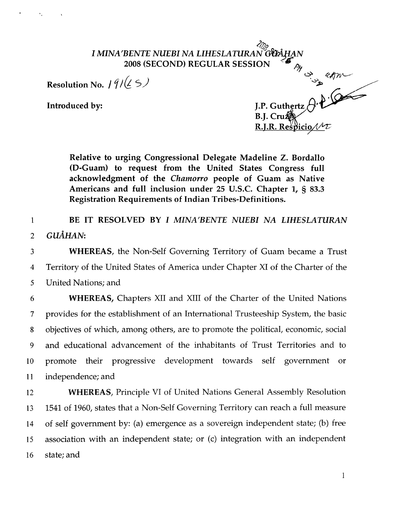## 's, *I MINA'BEATE NUEBI NA LIHESLATURAN (~&H\$~AN*  **2008** (SECOND) REGULAR SESSION

Resolution No.  $19/(5)$ 

Introduced by:

ION  $\frac{m}{3}$  extrements of the contract of the set of the B.J. Cruzz extreme R.J.R. Respicion to

Relative to urging Congressional Delegate Madeline Z. Bordallo (D-Guam) to request from the United States Congress full acknowledgment of the *Chamorro* people of Guam as Native Americans and full inclusion under **25** U.S.C. Chapter **1,** *5* **83.3**  Registration Requirements of Indian Tribes-Definitions.

BE IT RESOLVED BY *I MINA'BENTE NUEBI NA LIHESLATURAN*   $\mathbf{1}$ **GUAHAN:**   $\overline{2}$ 

 $\overline{3}$ WHEREAS, the Non-Self Governing Territory of Guam became a Trust Territory of the United States of America under Chapter XI of the Charter of the  $\overline{4}$ 5 United Nations; and

6 WHEREAS, Chapters XI1 and XI11 of the Charter of the United Nations  $\tau$ provides for the establishment of an International Trusteeship System, the basic 8 objectives of which, among others, are to promote the political, economic, social and educational advancement of the inhabitants of Trust Territories and to 9 promote their progressive development towards self government or 10 11 independence; and

WHEREAS, Principle VI of United Nations General Assembly Resolution 12 1541 of 1960, states that a Non-Self Governing Territory can reach a full measure 13 of self government by: (a) emergence as a sovereign independent state; (b) free 14 association with an independent state; or (c) integration with an independent 15 16 state; and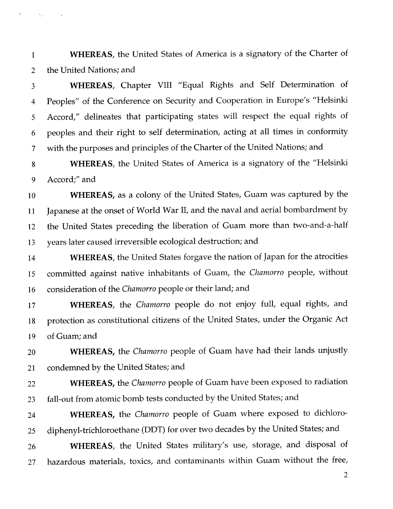WHEREAS, the United States of America is a signatory of the Charter of  $\mathbf{1}$ the United Nations; and  $\overline{2}$ 

 $\ell_{\rm m}$ 

WHEREAS, Chapter VIII "Equal Rights and Self Determination of 3 Peoples" of the Conference on Security and Cooperation in Europe's "Helsinki  $\overline{4}$ Accord," delineates that participating states will respect the equal rights of 5 peoples and their right to self determination, acting at all times in conformity 6 with the purposes and principles of the Charter of the United Nations; and  $\overline{7}$ 

WHEREAS, the United States of America is a signatory of the "Helsinki 8 9 Accord;" and

WHEREAS, as a colony of the United States, Guam was captured by the 10 Japanese at the onset of World War 11, and the naval and aerial bombardment by 11 the United States preceding the liberation of Guam more than two-and-a-half 12 years later caused irreversible ecological destruction; and 13

WHEREAS, the United States forgave the nation of Japan for the atrocities 14 committed against native inhabitants of Guam, the *Ckamorro* people, without 15 consideration of the *Chamorro* people or their land; and 16

WHEREAS, the *Chamorro* people do not enjoy full, equal rights, and 17 protection as constitutional citizens of the United States, under the Organic Act 18 of Guam; and 19

WHEREAS, the *Chamorro* people of Guam have had their lands unjustly 20 condemned by the United States; and 21

WHEREAS, the *Chamorro* people of Guam have been exposed to radiation 22 fall-out from atomic bomb tests conducted by the United States; and 23

WHEREAS, the *Chamorro* people of Guam where exposed to dichloro-24 diphenyl-trichloroethane (DDT) for over two decades by the United States; and 25

WHEREAS, the United States military's use, storage, and disposal of 26 hazardous materials, toxics, and contaminants within Guam without the free, 27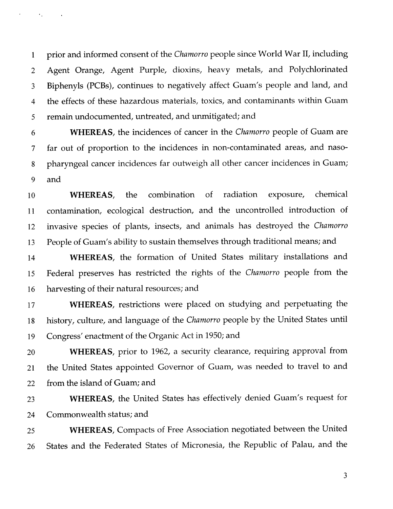prior and informed consent of the *Chamorro* people since World War 11, including  $\mathbf{1}$ Agent Orange, Agent Purple, dioxins, heavy metals, and Polychlorinated  $\overline{2}$ Biphenyls (PCBs), continues to negatively affect Guam's people and land, and 3 the effects of these hazardous materials, toxics, and contaminants within Guam  $\overline{4}$ 5 remain undocumented, untreated, and unmitigated; and

 $\epsilon_{\rm in}$ 

WHEREAS, the incidences of cancer in the *Chamorro* people of Guam are 6 far out of proportion to the incidences in non-contaminated areas, and naso- $\overline{7}$ pharyngeal cancer incidences far outweigh all other cancer incidences in Guam; 8 9 and

WHEREAS, the combination of radiation exposure, chemical 10 contamination, ecological destruction, and the uncontrolled introduction of 11 invasive species of plants, insects, and animals has destroyed the *Chamorro*  12 People of Guam's ability to sustain themselves through traditional means; and 13

WHEREAS, the formation of United States military installations and 14 Federal preserves has restricted the rights of the *Chamorro* people from the 15 16 harvesting of their natural resources; and

WHEREAS, restrictions were placed on studying and perpetuating the 17 history, culture, and language of the *Chmorro* people by the United States until 18 Congress' enactment of the Organic Act in 1950; and 19

WHEREAS, prior to 1962, a security clearance, requiring approval from 20 the United States appointed Governor of Guam, was needed to travel to and 21 from the island of Guam; and 22

WHEREAS, the United States has effectively denied Guam's request for 23 Commonwealth status; and 24

WHEREAS, Compacts of Free Association negotiated between the United 25 States and the Federated States of Micronesia, the Republic of Palau, and the 26

 $\overline{3}$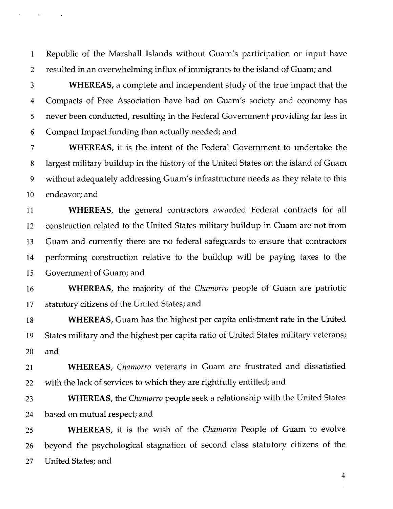Republic of the Marshall Islands without Guam's participation or input have  $\mathbf{1}$ resulted in an overwhelming influx of immigrants to the island of Guam; and  $\overline{2}$ 

 $\mathcal{F}_{\mathcal{A}}$ 

WHEREAS, a complete and independent study of the true impact that the 3 Compacts of Free Association have had on Guam's society and economy has  $\overline{4}$ 5 never been conducted, resulting in the Federal Government providing far less in Compact Impact funding than actually needed; and 6

WHEREAS, it is the intent of the Federal Government to undertake the  $\overline{7}$ largest military buildup in the history of the United States on the island of Guam 8 without adequately addressing Guam's infrastructure needs as they relate to this 9 10 endeavor; and

WHEREAS, the general contractors awarded Federal contracts for all 11 construction related to the United States military buildup in Guam are not from 12 Guam and currently there are no federal safeguards to ensure that contractors 13 performing construction relative to the buildup will be paying taxes to the 14 Government of Guam; and 15

WHEREAS, the majority of the *Chamorro* people of Guam are patriotic 16 statutory citizens of the United States; and 17

WHEREAS, Guam has the highest per capita enlistment rate in the United 18 States military and the highest per capita ratio of United States military veterans; 19 20 and

WHEREAS, *Chamorro* veterans in Guam are frustrated and dissatisfied 21 with the lack of services to which they are rightfully entitled; and 22

WHEREAS, the *Chamorro* people seek a relationship with the United States 23 24 based on mutual respect; and

WHEREAS, it is the wish of the *Chamorro* People of Guam to evolve 25 beyond the psychological stagnation of second class statutory citizens of the 26 27 United States; and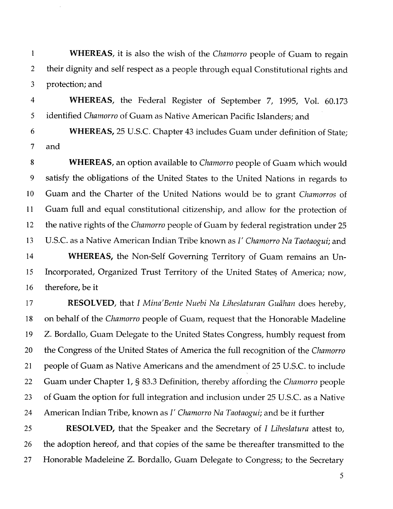WHEREAS, it is also the wish of the Chamorro people of Guam to regain  $\mathbf{1}$ their dignity and self respect as a people through equal Constitutional rights and  $\overline{2}$ protection; and  $\overline{3}$ 

 $\overline{4}$ WHEREAS, the Federal Register of September 7, 1995, Vol. 60.173 identified Chamorro of Guam as Native American Pacific Islanders; and 5

6 WHEREAS, 25 U.S.C. Chapter 43 includes Guam under definition of State;  $\overline{7}$ and

WHEREAS, an option available to Chamorro people of Guam which would 8 satisfy the obligations of the United States to the United Nations in regards to 9 Guam and the Charter of the United Nations would be to grant Chamorros of 10 11 Guam full and equal constitutional citizenship, and allow for the protection of the native rights of the Chamorro people of Guam by federal registration under 25 12 U.S.C. as a Native American Indian Tribe known as I' Chamorro Na Taotaogui; and 13 WHEREAS, the Non-Self Governing Territory of Guam remains an Un-14 Incorporated, Organized Trust Territory of the United States of America; now, 15 therefore, be it 16

RESOLVED, that I Mina'Bente Nuebi Na Liheslaturan Guåhan does hereby, 17 18 on behalf of the Chamorro people of Guam, request that the Honorable Madeline Z. Bordallo, Guam Delegate to the United States Congress, humbly request from 19 20 the Congress of the United States of America the full recognition of the Chamorro people of Guam as Native Americans and the amendment of 25 U.S.C. to include 21 22 Guam under Chapter 1, § 83.3 Definition, thereby affording the Chamorro people 23 of Guam the option for full integration and inclusion under 25 U.S.C. as a Native 24 American Indian Tribe, known as *I'* Chamorro Na Taotaogui; and be it further

RESOLVED, that the Speaker and the Secretary of I Liheslatura attest to, 25 the adoption hereof, and that copies of the same be thereafter transmitted to the 26 Honorable Madeleine Z. Bordallo, Guam Delegate to Congress; to the Secretary 27

**5**